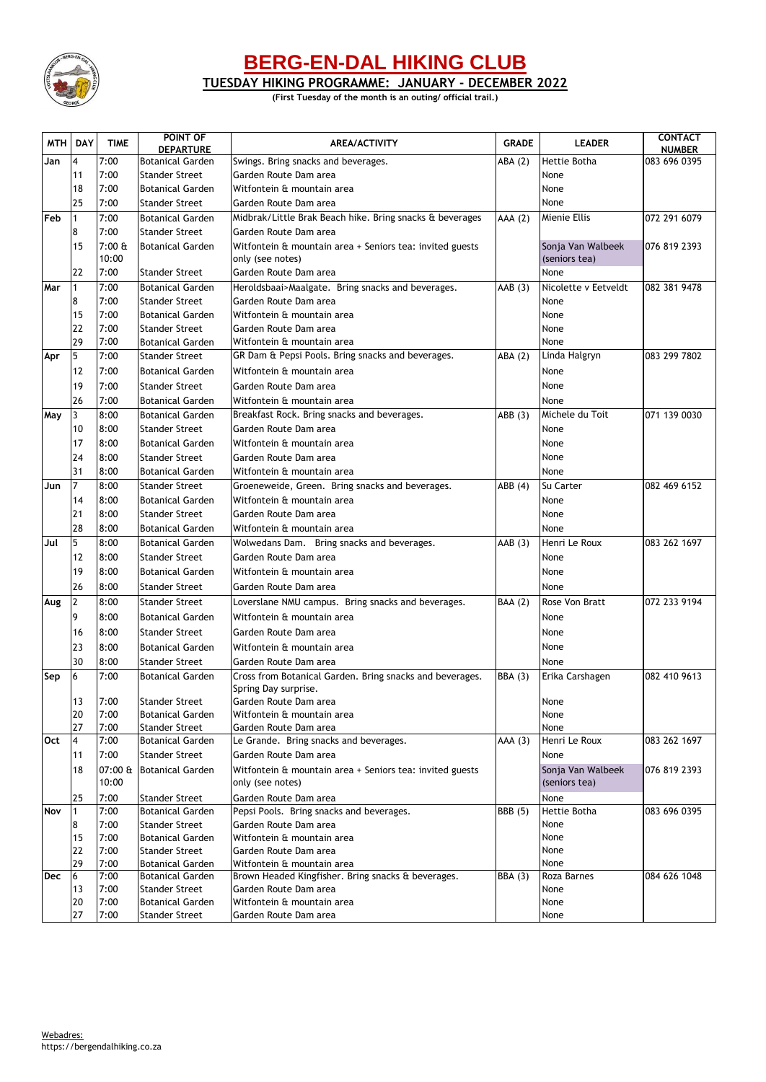

## **BERG-EN-DAL HIKING CLUB**

**TUESDAY HIKING PROGRAMME: JANUARY - DECEMBER 2022**

**(First Tuesday of the month is an outing/ official trail.)**

| <b>MTH</b> | <b>DAY</b>     | <b>TIME</b>  | POINT OF                                         | <b>GRADE</b><br><b>AREA/ACTIVITY</b><br><b>LEADER</b>                               |                |                                    | <b>CONTACT</b>                |
|------------|----------------|--------------|--------------------------------------------------|-------------------------------------------------------------------------------------|----------------|------------------------------------|-------------------------------|
| Jan        | 4              | 7:00         | <b>DEPARTURE</b><br><b>Botanical Garden</b>      |                                                                                     |                | Hettie Botha                       | <b>NUMBER</b><br>083 696 0395 |
|            | 11             | 7:00         | <b>Stander Street</b>                            | ABA (2)<br>Swings. Bring snacks and beverages.<br>Garden Route Dam area             |                | None                               |                               |
|            | 18             | 7:00         | <b>Botanical Garden</b>                          | Witfontein & mountain area                                                          |                | None                               |                               |
|            | 25             | 7:00         | <b>Stander Street</b>                            | Garden Route Dam area                                                               |                |                                    |                               |
|            |                | 7:00         |                                                  | None<br>Mienie Ellis<br>Midbrak/Little Brak Beach hike. Bring snacks & beverages    |                |                                    |                               |
| <b>Feb</b> | $\mathbf{1}$   | 7:00         | <b>Botanical Garden</b>                          |                                                                                     | AAA (2)        |                                    | 072 291 6079                  |
|            | 8              | $7:00$ &     | <b>Stander Street</b>                            | Garden Route Dam area                                                               |                |                                    |                               |
|            | 15             | 10:00        | <b>Botanical Garden</b>                          | Witfontein & mountain area + Seniors tea: invited guests<br>only (see notes)        |                | Sonja Van Walbeek<br>(seniors tea) | 076 819 2393                  |
|            | 22             | 7:00         | <b>Stander Street</b>                            | Garden Route Dam area                                                               |                | None                               |                               |
| Mar        | 1              | 7:00         | <b>Botanical Garden</b>                          | Nicolette v Eetveldt<br>Heroldsbaai>Maalgate. Bring snacks and beverages.<br>AAB(3) |                | 082 381 9478                       |                               |
|            | 8              | 7:00         | <b>Stander Street</b>                            | Garden Route Dam area                                                               |                | None                               |                               |
|            | 15             | 7:00         | <b>Botanical Garden</b>                          |                                                                                     |                | None                               |                               |
|            | 22             | 7:00         | <b>Stander Street</b>                            | Witfontein & mountain area<br>Garden Route Dam area                                 |                | None                               |                               |
|            | 29             | 7:00         | <b>Botanical Garden</b>                          | Witfontein & mountain area                                                          |                | None                               |                               |
| Apr        | 5              | 7:00         | <b>Stander Street</b>                            | GR Dam & Pepsi Pools. Bring snacks and beverages.                                   | ABA (2)        |                                    | 083 299 7802                  |
|            | 12             | 7:00         | <b>Botanical Garden</b>                          | Witfontein & mountain area                                                          |                | Linda Halgryn<br>None              |                               |
|            | 19             | 7:00         |                                                  |                                                                                     |                |                                    |                               |
|            |                |              | <b>Stander Street</b>                            | Garden Route Dam area                                                               |                | None                               |                               |
|            | 26             | 7:00         | <b>Botanical Garden</b>                          | Witfontein & mountain area                                                          |                | None                               |                               |
| May        | 3              | 8:00         | <b>Botanical Garden</b>                          | Breakfast Rock. Bring snacks and beverages.                                         | ABB (3)        | Michele du Toit                    | 071 139 0030                  |
|            | 10             | 8:00         | <b>Stander Street</b>                            | Garden Route Dam area                                                               |                | None                               |                               |
|            | 17             | 8:00         | <b>Botanical Garden</b>                          | Witfontein & mountain area                                                          |                | None                               |                               |
|            | 24             | 8:00         | <b>Stander Street</b>                            | Garden Route Dam area                                                               |                | None                               |                               |
|            | 31             | 8:00         | <b>Botanical Garden</b>                          | Witfontein & mountain area<br>None                                                  |                |                                    |                               |
| Jun        | $\overline{7}$ | 8:00         | <b>Stander Street</b>                            | Groeneweide, Green. Bring snacks and beverages.                                     | ABB (4)        | Su Carter                          | 082 469 6152                  |
|            | 14             | 8:00         | <b>Botanical Garden</b>                          | Witfontein & mountain area                                                          |                | None                               |                               |
|            | 21             | 8:00         | <b>Stander Street</b>                            | Garden Route Dam area                                                               |                | None                               |                               |
|            | 28             | 8:00         | <b>Botanical Garden</b>                          | Witfontein & mountain area                                                          |                | None                               |                               |
| Jul        | 5              | 8:00         | <b>Botanical Garden</b>                          | Wolwedans Dam. Bring snacks and beverages.                                          | AAB(3)         | Henri Le Roux                      | 083 262 1697                  |
|            | 12             | 8:00         | <b>Stander Street</b>                            | Garden Route Dam area                                                               |                | None                               |                               |
|            | 19             | 8:00         | <b>Botanical Garden</b>                          | Witfontein & mountain area                                                          |                | None                               |                               |
|            | 26             | 8:00         | <b>Stander Street</b>                            | Garden Route Dam area                                                               |                | None                               |                               |
| Aug        | $\mathbf{2}$   | 8:00         | <b>Stander Street</b>                            | Loverslane NMU campus. Bring snacks and beverages.                                  | <b>BAA</b> (2) | Rose Von Bratt                     | 072 233 9194                  |
|            | 9              | 8:00         | <b>Botanical Garden</b>                          | Witfontein & mountain area                                                          |                | None                               |                               |
|            | 16             | 8:00         | <b>Stander Street</b>                            | Garden Route Dam area                                                               |                | None                               |                               |
|            | 23             | 8:00         | <b>Botanical Garden</b>                          | Witfontein & mountain area                                                          |                | None                               |                               |
|            | 30             | 8:00         | <b>Stander Street</b>                            | Garden Route Dam area                                                               |                | None                               |                               |
| Sep        | 6              | 7:00         | <b>Botanical Garden</b>                          | Cross from Botanical Garden. Bring snacks and beverages.                            | <b>BBA</b> (3) | Erika Carshagen                    | 082 410 9613                  |
|            |                |              |                                                  | Spring Day surprise.                                                                |                |                                    |                               |
|            | 13             | 7:00         | <b>Stander Street</b>                            | Garden Route Dam area                                                               |                | None                               |                               |
|            | 20             | 7:00         | <b>Botanical Garden</b>                          | Witfontein & mountain area                                                          |                | None                               |                               |
|            | 27             | 7:00         | <b>Stander Street</b>                            | Garden Route Dam area                                                               |                | None                               |                               |
| Oct        | $\overline{A}$ | 7:00         | <b>Botanical Garden</b>                          | Le Grande. Bring snacks and beverages.                                              | AAA (3)        | Henri Le Roux                      | 083 262 1697                  |
|            | 11             | 7:00         | <b>Stander Street</b>                            | Garden Route Dam area                                                               |                | None                               |                               |
|            | 18             |              | 07:00 & Botanical Garden                         | Witfontein & mountain area + Seniors tea: invited guests                            |                | Sonja Van Walbeek                  | 076 819 2393                  |
|            |                | 10:00        |                                                  | only (see notes)                                                                    |                | (seniors tea)                      |                               |
|            | 25             | 7:00         | <b>Stander Street</b>                            | Garden Route Dam area                                                               |                | None                               |                               |
| Nov        | $\mathbf{1}$   | 7:00         | <b>Botanical Garden</b>                          | Pepsi Pools. Bring snacks and beverages.                                            | <b>BBB</b> (5) | Hettie Botha                       | 083 696 0395                  |
|            | 8              | 7:00         | <b>Stander Street</b>                            | Garden Route Dam area                                                               |                | None                               |                               |
|            | 15             | 7:00         | <b>Botanical Garden</b>                          | Witfontein & mountain area                                                          |                | None                               |                               |
|            | 22             | 7:00         | <b>Stander Street</b>                            | Garden Route Dam area                                                               |                | None                               |                               |
|            | 29             | 7:00         | <b>Botanical Garden</b>                          | Witfontein & mountain area                                                          |                | None                               |                               |
| <b>Dec</b> | 6<br>13        | 7:00<br>7:00 | <b>Botanical Garden</b><br><b>Stander Street</b> | Brown Headed Kingfisher. Bring snacks & beverages.<br>Garden Route Dam area         | <b>BBA (3)</b> | Roza Barnes<br>None                | 084 626 1048                  |
|            | 20             | 7:00         | <b>Botanical Garden</b>                          | Witfontein & mountain area                                                          |                | None                               |                               |
|            | 27             | 7:00         | <b>Stander Street</b>                            | Garden Route Dam area                                                               |                | None                               |                               |
|            |                |              |                                                  |                                                                                     |                |                                    |                               |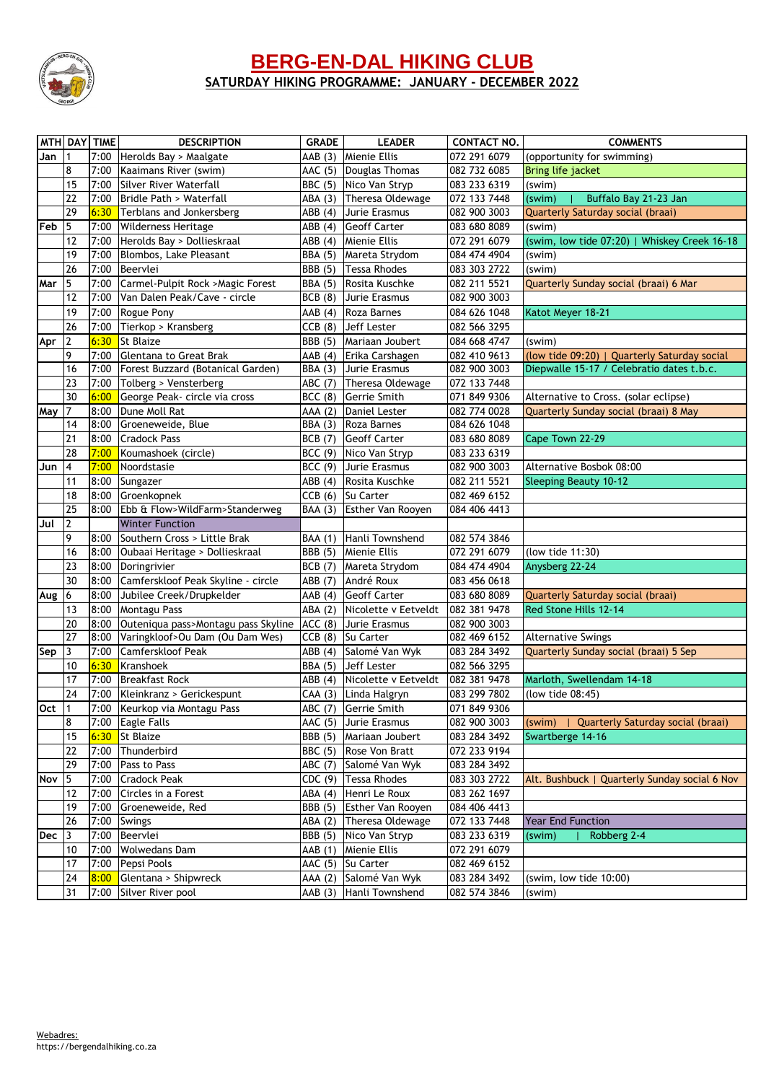

### **BERG-EN-DAL HIKING CLUB SATURDAY HIKING PROGRAMME: JANUARY - DECEMBER 2022**

|            |                  | MTH DAY TIME | <b>DESCRIPTION</b>                       | <b>GRADE</b>   | <b>LEADER</b>                                     | <b>CONTACT NO.</b>           | <b>COMMENTS</b>                                                 |  |
|------------|------------------|--------------|------------------------------------------|----------------|---------------------------------------------------|------------------------------|-----------------------------------------------------------------|--|
| Jan        | l 1              |              | 7:00 Herolds Bay > Maalgate              |                | AAB (3) Mienie Ellis                              | 072 291 6079                 | (opportunity for swimming)                                      |  |
|            | 8                |              | 7:00 Kaaimans River (swim)               |                | AAC (5) Douglas Thomas                            | 082 732 6085                 | Bring life jacket                                               |  |
|            | 15               | 7:00         | Silver River Waterfall                   |                | BBC (5) Nico Van Stryp                            | 083 233 6319                 | (swim)                                                          |  |
|            | 22               | 7:00         | Bridle Path > Waterfall                  |                | ABA (3) Theresa Oldewage                          | 072 133 7448                 | Buffalo Bay 21-23 Jan<br>(swim)                                 |  |
|            | 29               | 6:30         | Terblans and Jonkersberg                 | ABB(4)         | Jurie Erasmus                                     | 082 900 3003                 | Quarterly Saturday social (braai)                               |  |
| Feb        | 5                | 7:00         | <b>Wilderness Heritage</b>               |                | ABB (4) Geoff Carter                              | 083 680 8089                 | (swim)                                                          |  |
|            | 12               | 7:00         | Herolds Bay > Dollieskraal               |                | ABB (4) Mienie Ellis                              | 072 291 6079                 | (swim, low tide 07:20)   Whiskey Creek 16-18                    |  |
|            | 19               | 7:00         | Blombos, Lake Pleasant                   | <b>BBA</b> (5) | Mareta Strydom                                    | 084 474 4904                 | (swim)                                                          |  |
|            | 26               | 7:00         | Beervlei                                 |                | BBB (5) Tessa Rhodes                              | 083 303 2722                 | (swim)                                                          |  |
| Mar        | 5                | 7:00         | Carmel-Pulpit Rock > Magic Forest        | <b>BBA</b> (5) | Rosita Kuschke                                    | 082 211 5521                 | Quarterly Sunday social (braai) 6 Mar                           |  |
|            | 12               | 7:00         | Van Dalen Peak/Cave - circle             | BCB(8)         | Jurie Erasmus                                     | 082 900 3003                 |                                                                 |  |
|            | 19               | 7:00         | Rogue Pony                               | AAB(4)         | Roza Barnes                                       | 084 626 1048                 | Katot Meyer 18-21                                               |  |
|            | 26               | 7:00         | Tierkop > Kransberg                      | CCB(8)         | <b>Jeff Lester</b>                                | 082 566 3295                 |                                                                 |  |
| Apr        | $\overline{2}$   | 6:30         | St Blaize                                |                | BBB (5) Mariaan Joubert                           | 084 668 4747                 | (swim)                                                          |  |
|            | 9                | 7:00         | Glentana to Great Brak                   |                | AAB (4) Erika Carshagen                           | 082 410 9613                 | (low tide 09:20)   Quarterly Saturday social                    |  |
|            | 16               | 7:00         | Forest Buzzard (Botanical Garden)        |                | BBA (3) Jurie Erasmus                             | 082 900 3003                 | Diepwalle 15-17 / Celebratio dates t.b.c.                       |  |
|            | 23               | 7:00         | Tolberg > Vensterberg                    | ABC(7)         | Theresa Oldewage                                  | 072 133 7448                 |                                                                 |  |
|            | 30               | 6:00         | George Peak- circle via cross            |                | BCC (8) Gerrie Smith                              | 071 849 9306                 | Alternative to Cross. (solar eclipse)                           |  |
| May        | 17               | 8:00         | Dune Moll Rat                            |                | AAA (2) Daniel Lester                             | 082 774 0028                 | Quarterly Sunday social (braai) 8 May                           |  |
|            | 14               | 8:00         | Groeneweide, Blue                        |                | BBA (3) Roza Barnes                               | 084 626 1048                 |                                                                 |  |
|            | 21               | 8:00         | <b>Cradock Pass</b>                      |                | BCB (7) Geoff Carter                              | 083 680 8089                 | Cape Town 22-29                                                 |  |
|            | 28               | 7:00         | Koumashoek (circle)                      |                | BCC (9) Nico Van Stryp                            | 083 233 6319                 |                                                                 |  |
| Jun        | 14               | 7:00         | Noordstasie                              | BCC(9)         | Jurie Erasmus                                     | 082 900 3003                 | Alternative Bosbok 08:00                                        |  |
|            | 11               | 8:00         | Sungazer                                 |                | ABB (4) Rosita Kuschke                            | 082 211 5521                 | <b>Sleeping Beauty 10-12</b>                                    |  |
|            | 18               | 8:00         | Groenkopnek                              |                | CCB (6) Su Carter                                 | 082 469 6152                 |                                                                 |  |
|            | 25               | 8:00         | Ebb & Flow>WildFarm>Standerweg           |                | BAA (3) Esther Van Rooyen                         | 084 406 4413                 |                                                                 |  |
| Jul        | $\overline{2}$   |              | <b>Winter Function</b>                   |                |                                                   |                              |                                                                 |  |
|            | 9                | 8:00         | Southern Cross > Little Brak             |                | BAA (1) Hanli Townshend                           | 082 574 3846                 |                                                                 |  |
|            | 16               | 8:00         | Oubaai Heritage > Dollieskraal           |                | BBB (5) Mienie Ellis                              | 072 291 6079                 | (low tide 11:30)                                                |  |
|            | 23               | 8:00         | Doringrivier                             |                | BCB (7) Mareta Strydom                            | 084 474 4904                 | Anysberg 22-24                                                  |  |
|            | 30               | 8:00         | Camferskloof Peak Skyline - circle       | ABB (7)        | André Roux                                        | 083 456 0618                 |                                                                 |  |
| Aug        | 16               | 8:00         | Jubilee Creek/Drupkelder                 |                | AAB (4) Geoff Carter                              | 083 680 8089                 | Quarterly Saturday social (braai)                               |  |
|            | 13               | 8:00         | Montagu Pass                             |                | ABA (2) Nicolette v Eetveldt                      | 082 381 9478                 | Red Stone Hills 12-14                                           |  |
|            | 20               | 8:00         | Outeniqua pass>Montagu pass Skyline      | ACC(8)         | Jurie Erasmus                                     | 082 900 3003                 |                                                                 |  |
|            | 27               | 8:00         | Varingkloof>Ou Dam (Ou Dam Wes)          |                | CCB (8) Su Carter                                 | 082 469 6152                 | <b>Alternative Swings</b>                                       |  |
| Sep        | 3                | 7:00         | <b>Camferskloof Peak</b>                 |                | ABB (4) Salomé Van Wyk                            | 083 284 3492                 | Quarterly Sunday social (braai) 5 Sep                           |  |
|            | 10               | 6:30         | Kranshoek                                |                | BBA (5) Jeff Lester                               | 082 566 3295                 |                                                                 |  |
|            | 17               | 7:00         | <b>Breakfast Rock</b>                    |                | ABB (4) Nicolette v Eetveldt                      | 082 381 9478                 | Marloth, Swellendam 14-18                                       |  |
|            | 24               |              | 7:00 Kleinkranz > Gerickespunt           |                | CAA (3) Linda Halgryn                             | 083 299 7802                 | (low tide 08:45)                                                |  |
| $Oct$  1   | 8                |              | 7:00 Keurkop via Montagu Pass            |                | ABC (7) Gerrie Smith                              | 071 849 9306                 |                                                                 |  |
|            | 15               |              | 7:00 Eagle Falls<br>6:30 St Blaize       |                | AAC (5) Jurie Erasmus                             | 082 900 3003<br>083 284 3492 | Quarterly Saturday social (braai)<br>(swim)<br>Swartberge 14-16 |  |
|            |                  |              |                                          |                | BBB (5) Mariaan Joubert<br>BBC (5) Rose Von Bratt |                              |                                                                 |  |
|            | 22<br>29         |              | 7:00 Thunderbird<br>7:00 Pass to Pass    |                | ABC (7) Salomé Van Wyk                            | 072 233 9194<br>083 284 3492 |                                                                 |  |
|            |                  |              |                                          |                |                                                   |                              |                                                                 |  |
| Nov        | $\sqrt{5}$<br>12 | 7:00         | 7:00 Cradock Peak<br>Circles in a Forest |                | CDC (9) Tessa Rhodes<br>ABA (4) Henri Le Roux     | 083 303 2722<br>083 262 1697 | Alt. Bushbuck   Quarterly Sunday social 6 Nov                   |  |
|            | 19               | 7:00         | Groeneweide, Red                         |                | BBB (5) Esther Van Rooyen                         | 084 406 4413                 |                                                                 |  |
|            | 26               | 7:00         | Swings                                   |                | ABA (2) Theresa Oldewage                          | 072 133 7448                 | <b>Year End Function</b>                                        |  |
| <b>Dec</b> | $\vert$ 3        | 7:00         | Beervlei                                 |                | BBB (5) Nico Van Stryp                            | 083 233 6319                 | Robberg 2-4<br>(swim)                                           |  |
|            | 10               |              | 7:00 Wolwedans Dam                       |                | AAB (1) Mienie Ellis                              | 072 291 6079                 |                                                                 |  |
|            | 17               | 7:00         | Pepsi Pools                              |                | AAC (5) Su Carter                                 | 082 469 6152                 |                                                                 |  |
|            | 24               | 8:00         | Glentana > Shipwreck                     |                | AAA (2) Salomé Van Wyk                            | 083 284 3492                 | (swim, low tide 10:00)                                          |  |
|            | 31               |              | 7:00 Silver River pool                   |                | AAB (3) Hanli Townshend                           | 082 574 3846                 | (swim)                                                          |  |
|            |                  |              |                                          |                |                                                   |                              |                                                                 |  |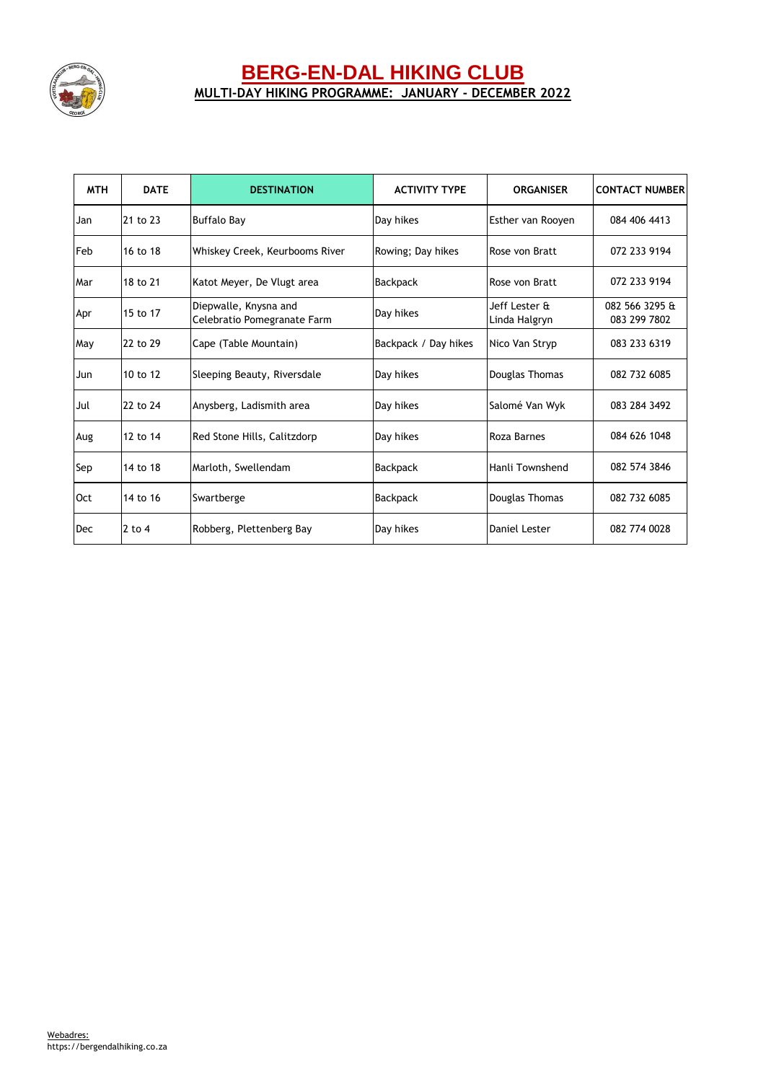

## **BERG-EN-DAL HIKING CLUB MULTI-DAY HIKING PROGRAMME: JANUARY - DECEMBER 2022**

| <b>MTH</b> | <b>DATE</b> | <b>DESTINATION</b>                                   | <b>ACTIVITY TYPE</b> | <b>ORGANISER</b>               | <b>CONTACT NUMBER</b>          |
|------------|-------------|------------------------------------------------------|----------------------|--------------------------------|--------------------------------|
| Jan        | 21 to 23    | <b>Buffalo Bay</b>                                   | Day hikes            | Esther van Rooven              | 084 406 4413                   |
| Feb        | 16 to 18    | Whiskey Creek, Keurbooms River                       | Rowing; Day hikes    | Rose von Bratt                 | 072 233 9194                   |
| Mar        | 18 to 21    | Katot Meyer, De Vlugt area                           | <b>Backpack</b>      | Rose von Bratt                 | 072 233 9194                   |
| Apr        | 15 to 17    | Diepwalle, Knysna and<br>Celebratio Pomegranate Farm | Day hikes            | Jeff Lester &<br>Linda Halgryn | 082 566 3295 &<br>083 299 7802 |
| May        | 22 to 29    | Cape (Table Mountain)                                | Backpack / Day hikes | Nico Van Stryp                 | 083 233 6319                   |
| Jun        | 10 to 12    | Sleeping Beauty, Riversdale                          | Day hikes            | Douglas Thomas                 | 082 732 6085                   |
| Jul        | 22 to 24    | Anysberg, Ladismith area                             | Day hikes            | Salomé Van Wyk                 | 083 284 3492                   |
| Aug        | 12 to 14    | Red Stone Hills, Calitzdorp                          | Day hikes            | Roza Barnes                    | 084 626 1048                   |
| Sep        | 14 to 18    | Marloth, Swellendam                                  | <b>Backpack</b>      | Hanli Townshend                | 082 574 3846                   |
| Oct        | 14 to 16    | Swartberge                                           | <b>Backpack</b>      | Douglas Thomas                 | 082 732 6085                   |
| Dec        | $2$ to 4    | Robberg, Plettenberg Bay                             | Day hikes            | Daniel Lester                  | 082 774 0028                   |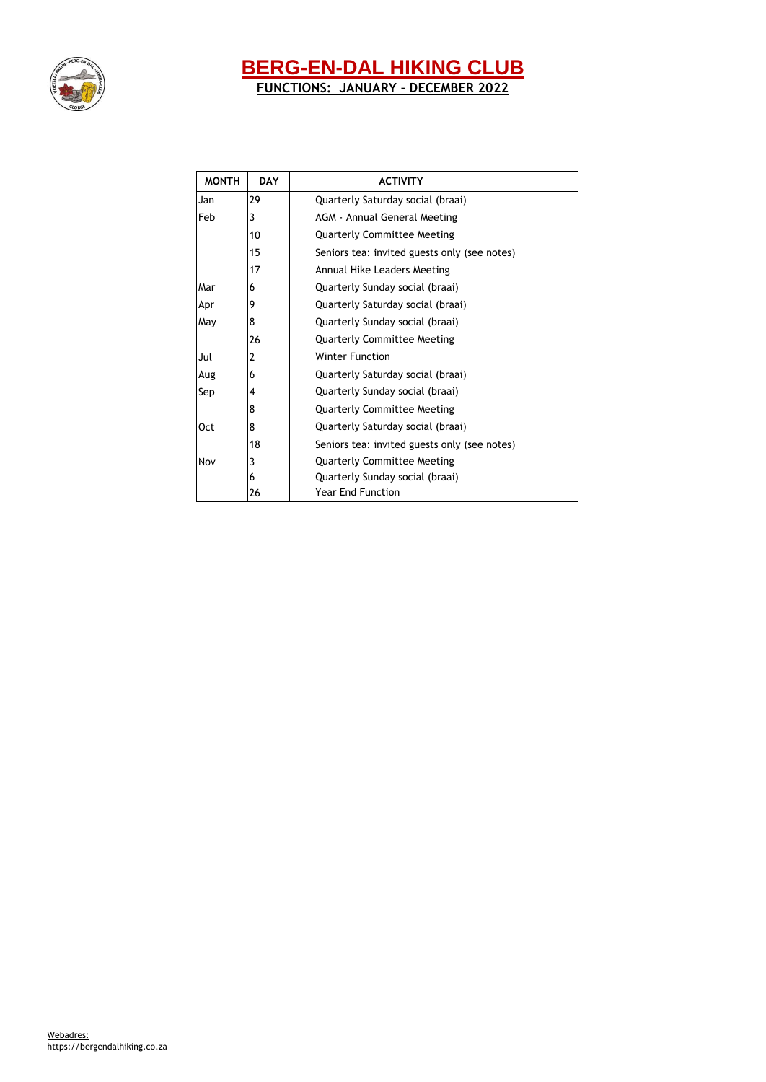

# **BERG-EN-DAL HIKING CLUB**

**FUNCTIONS: JANUARY - DECEMBER 2022**

| <b>MONTH</b> | <b>DAY</b> | <b>ACTIVITY</b>                              |  |  |
|--------------|------------|----------------------------------------------|--|--|
| 29<br>Jan    |            | Quarterly Saturday social (braai)            |  |  |
| Feb          | 3          | <b>AGM - Annual General Meeting</b>          |  |  |
|              | 10         | <b>Quarterly Committee Meeting</b>           |  |  |
|              | 15         | Seniors tea: invited guests only (see notes) |  |  |
|              | 17         | Annual Hike Leaders Meeting                  |  |  |
| Mar          | 6          | Quarterly Sunday social (braai)              |  |  |
| Apr          | 9          | Quarterly Saturday social (braai)            |  |  |
| May          | 8          | Quarterly Sunday social (braai)              |  |  |
|              | 26         | <b>Quarterly Committee Meeting</b>           |  |  |
| Jul          | 2          | <b>Winter Function</b>                       |  |  |
| Aug          | 6          | Quarterly Saturday social (braai)            |  |  |
| Sep          | 4          | Quarterly Sunday social (braai)              |  |  |
|              | 8          | <b>Quarterly Committee Meeting</b>           |  |  |
| <b>Oct</b>   | 8          | Quarterly Saturday social (braai)            |  |  |
|              | 18         | Seniors tea: invited guests only (see notes) |  |  |
| Nov          | 3          | <b>Quarterly Committee Meeting</b>           |  |  |
|              | 6          | Quarterly Sunday social (braai)              |  |  |
|              | 26         | <b>Year End Function</b>                     |  |  |